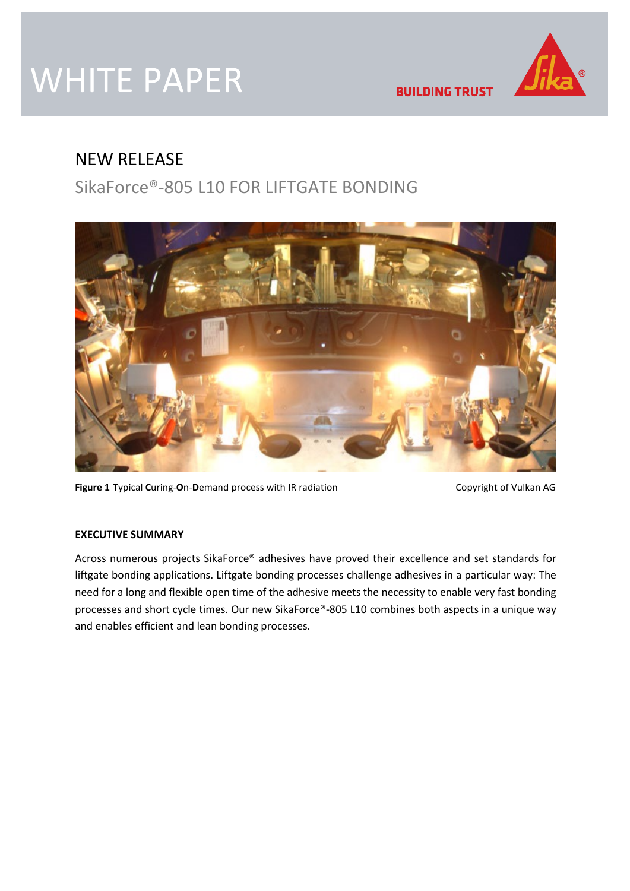# WHITE PAPER

**BUILDING TRUST** 

## NEW RELEASE

# SikaForce®-805 L10 FOR LIFTGATE BONDING



**Figure 1** Typical Curing-On-Demand process with IR radiation Copyright of Vulkan AG

### **EXECUTIVE SUMMARY**

Across numerous projects SikaForce® adhesives have proved their excellence and set standards for liftgate bonding applications. Liftgate bonding processes challenge adhesives in a particular way: The need for a long and flexible open time of the adhesive meets the necessity to enable very fast bonding processes and short cycle times. Our new SikaForce®-805 L10 combines both aspects in a unique way and enables efficient and lean bonding processes.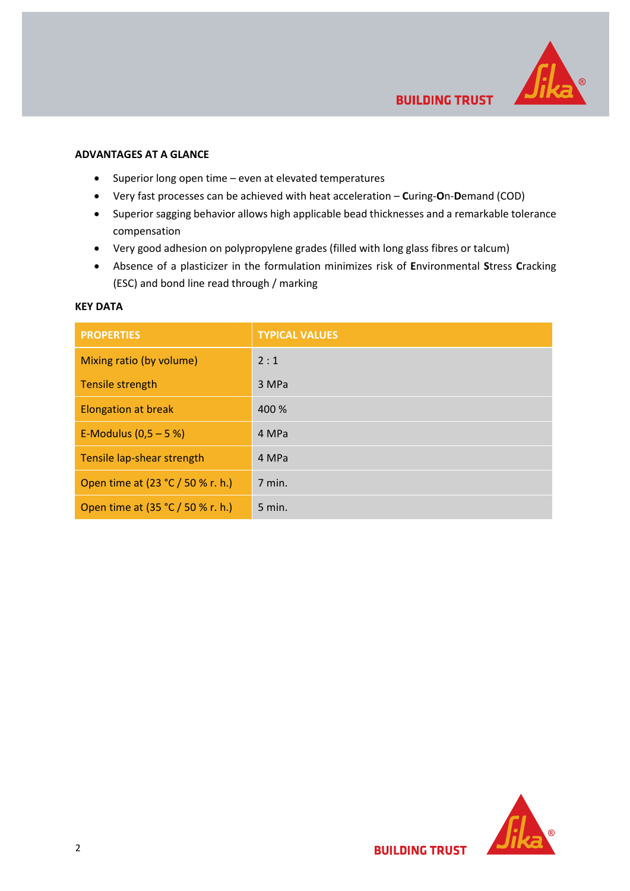

#### **ADVANTAGES AT A GLANCE**

- Superior long open time even at elevated temperatures
- Very fast processes can be achieved with heat acceleration **C**uring-**O**n-**D**emand (COD)
- Superior sagging behavior allows high applicable bead thicknesses and a remarkable tolerance compensation
- Very good adhesion on polypropylene grades (filled with long glass fibres or talcum)
- Absence of a plasticizer in the formulation minimizes risk of **E**nvironmental **S**tress **C**racking (ESC) and bond line read through / marking

#### **KEY DATA**

| <b>PROPERTIES</b>                 | <b>TYPICAL VALUES</b> |
|-----------------------------------|-----------------------|
| Mixing ratio (by volume)          | 2:1                   |
| Tensile strength                  | 3 MPa                 |
| <b>Elongation at break</b>        | 400 %                 |
| E-Modulus $(0,5 - 5%)$            | 4 MPa                 |
| Tensile lap-shear strength        | 4 MPa                 |
| Open time at (23 °C / 50 % r. h.) | 7 min.                |
| Open time at (35 °C / 50 % r. h.) | $5$ min.              |

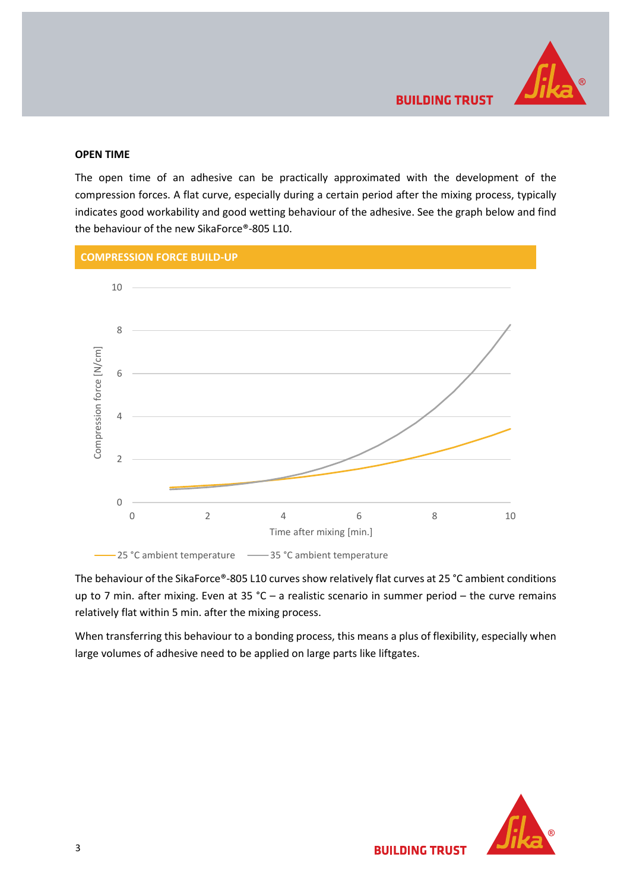

#### **OPEN TIME**

The open time of an adhesive can be practically approximated with the development of the compression forces. A flat curve, especially during a certain period after the mixing process, typically indicates good workability and good wetting behaviour of the adhesive. See the graph below and find the behaviour of the new SikaForce®-805 L10.



The behaviour of the SikaForce®-805 L10 curves show relatively flat curves at 25 °C ambient conditions up to 7 min. after mixing. Even at 35 °C – a realistic scenario in summer period – the curve remains relatively flat within 5 min. after the mixing process.

When transferring this behaviour to a bonding process, this means a plus of flexibility, especially when large volumes of adhesive need to be applied on large parts like liftgates.

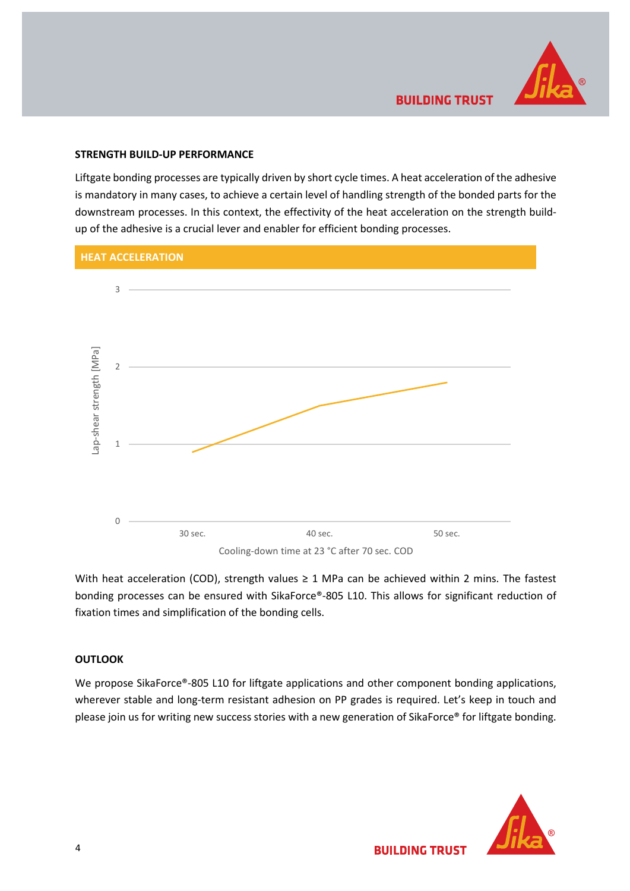

#### **STRENGTH BUILD-UP PERFORMANCE**

Liftgate bonding processes are typically driven by short cycle times. A heat acceleration of the adhesive is mandatory in many cases, to achieve a certain level of handling strength of the bonded parts for the downstream processes. In this context, the effectivity of the heat acceleration on the strength buildup of the adhesive is a crucial lever and enabler for efficient bonding processes.



With heat acceleration (COD), strength values  $\geq 1$  MPa can be achieved within 2 mins. The fastest bonding processes can be ensured with SikaForce®-805 L10. This allows for significant reduction of fixation times and simplification of the bonding cells.

#### **OUTLOOK**

We propose SikaForce®-805 L10 for liftgate applications and other component bonding applications, wherever stable and long-term resistant adhesion on PP grades is required. Let's keep in touch and please join us for writing new success stories with a new generation of SikaForce® for liftgate bonding.